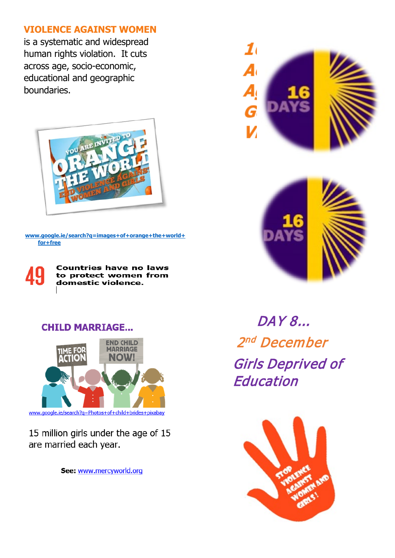# **VIOLENCE AGAINST WOMEN**

is a systematic and widespread human rights violation. It cuts across age, socio-economic, educational and geographic boundaries.



**[www.google.ie/search?q=images+of+orange+the+world+](http://www.google.ie/search?q=images+of+orange+the+world+for+free) [for+free](http://www.google.ie/search?q=images+of+orange+the+world+for+free)**



**Countries have no laws** to protect women from domestic violence.

# **CHILD MARRIAGE...**



15 million girls under the age of 15 are married each year.

See: www.mercyworld.org





DAY 8... 2<sup>nd</sup> December Girls Deprived of **Education**